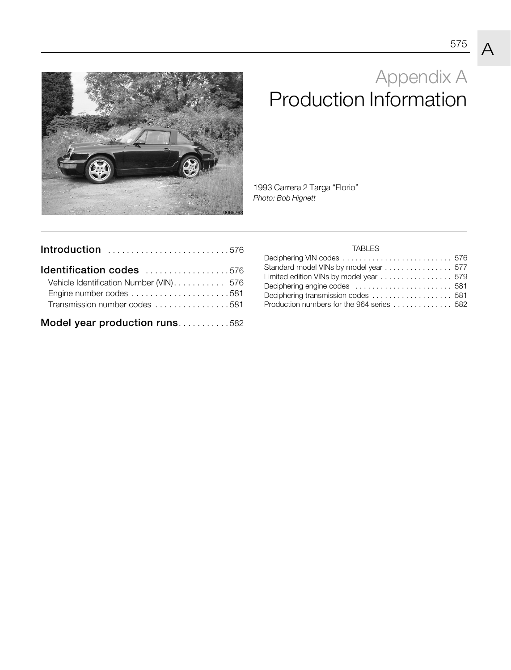

# Appendix A Production Information

1993 Carrera 2 Targa "Florio" *Photo: Bob Hignett*

| Introduction 576                                                         |  |
|--------------------------------------------------------------------------|--|
| Identification codes 576                                                 |  |
| Vehicle Identification Number (VIN) 576<br>Transmission number codes 581 |  |
| Model year production runs582                                            |  |

#### TABLES

| Deciphering VIN codes  576                                                  |  |
|-----------------------------------------------------------------------------|--|
| Standard model VINs by model year  577                                      |  |
| Limited edition VINs by model year $\ldots \ldots \ldots \ldots \ldots 579$ |  |
|                                                                             |  |
| Deciphering transmission codes  581                                         |  |
| Production numbers for the 964 series  582                                  |  |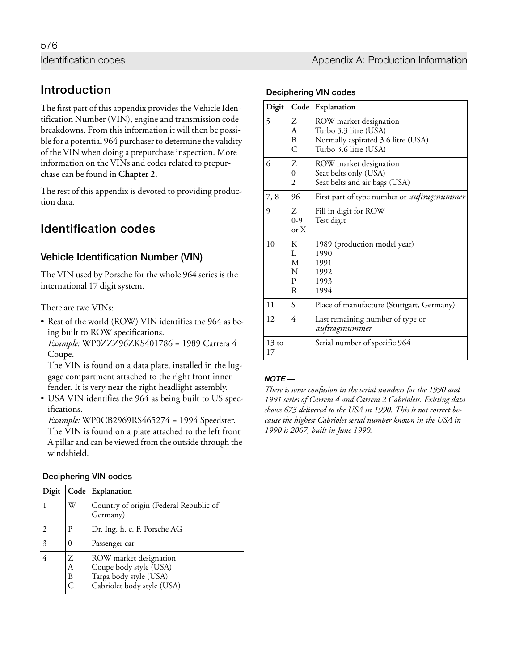#### Identification codes **Appendix A: Production Information** Identification codes and a structure of the Appendix A: Production Information

## **Introduction**

The first part of this appendix provides the Vehicle Identification Number (VIN), engine and transmission code breakdowns. From this information it will then be possible for a potential 964 purchaser to determine the validity of the VIN when doing a prepurchase inspection. More information on the VINs and codes related to prepurchase can be found in **Chapter 2**.

The rest of this appendix is devoted to providing production data.

## **Identification codes**

### **Vehicle Identification Number (VIN)**

The VIN used by Porsche for the whole 964 series is the international 17 digit system.

There are two VINs:

• Rest of the world (ROW) VIN identifies the 964 as being built to ROW specifications. *Example:* WP0ZZZ96ZKS401786 = 1989 Carrera 4

Coupe.

The VIN is found on a data plate, installed in the luggage compartment attached to the right front inner fender. It is very near the right headlight assembly.

• USA VIN identifies the 964 as being built to US specifications.

*Example:* WP0CB2969RS465274 = 1994 Speedster. The VIN is found on a plate attached to the left front A pillar and can be viewed from the outside through the windshield.

| <b>Deciphering VIN codes</b> |  |  |
|------------------------------|--|--|
|------------------------------|--|--|

| Digit |             | Code Explanation                                                                                         |
|-------|-------------|----------------------------------------------------------------------------------------------------------|
|       | W           | Country of origin (Federal Republic of<br>Germany)                                                       |
|       | Р           | Dr. Ing. h. c. F. Porsche AG                                                                             |
| 3     |             | Passenger car                                                                                            |
|       | Ζ<br>А<br>В | ROW market designation<br>Coupe body style (USA)<br>Targa body style (USA)<br>Cabriolet body style (USA) |

| <b>Deciphering VIN codes</b> |  |  |
|------------------------------|--|--|
|------------------------------|--|--|

| Digit                 | Code                       | Explanation                                                                                                    |
|-----------------------|----------------------------|----------------------------------------------------------------------------------------------------------------|
| $\overline{5}$        | Ζ<br>A<br>B<br>С           | ROW market designation<br>Turbo 3.3 litre (USA)<br>Normally aspirated 3.6 litre (USA)<br>Turbo 3.6 litre (USA) |
| 6                     | Ζ<br>0<br>$\overline{2}$   | ROW market designation<br>Seat belts only (USA)<br>Seat belts and air bags (USA)                               |
| 7,8                   | 96                         | First part of type number or <i>auftragsnummer</i>                                                             |
| 9                     | Ζ<br>$0-9$<br>or X         | Fill in digit for ROW<br>Test digit                                                                            |
| 10                    | К<br>L<br>M<br>N<br>P<br>R | 1989 (production model year)<br>1990<br>1991<br>1992<br>1993<br>1994                                           |
| 11                    | S                          | Place of manufacture (Stuttgart, Germany)                                                                      |
| 12                    | 4                          | Last remaining number of type or<br>auftragsnummer                                                             |
| $13 \text{ to}$<br>17 |                            | Serial number of specific 964                                                                                  |

#### $NOTE -$

*There is some confusion in the serial numbers for the 1990 and 1991 series of Carrera 4 and Carrera 2 Cabriolets. Existing data shows 673 delivered to the USA in 1990. This is not correct because the highest Cabriolet serial number known in the USA in 1990 is 2067, built in June 1990.*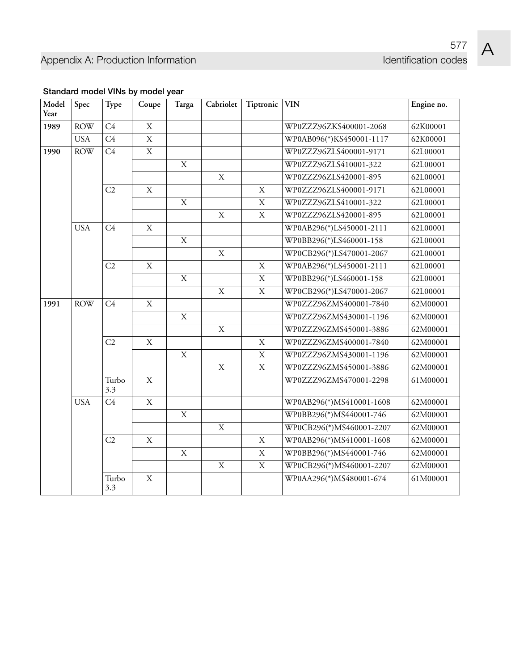| Model<br>Year | Spec       | Type           | Coupe          | Targa          | Cabriolet      | Tiptronic      | <b>VIN</b>               | Engine no. |  |  |                        |          |
|---------------|------------|----------------|----------------|----------------|----------------|----------------|--------------------------|------------|--|--|------------------------|----------|
| 1989          | <b>ROW</b> | C4             | $\mathbf X$    |                |                |                | WP0ZZZ96ZKS400001-2068   | 62K00001   |  |  |                        |          |
|               | <b>USA</b> | C4             | $\mathbf X$    |                |                |                | WP0AB096(*)KS450001-1117 | 62K00001   |  |  |                        |          |
| 1990          | <b>ROW</b> | C4             | $\bar{X}$      |                |                |                | WP0ZZZ96ZLS400001-9171   | 62L00001   |  |  |                        |          |
|               |            |                |                | $\mathbf X$    |                |                | WP0ZZZ96ZLS410001-322    | 62L00001   |  |  |                        |          |
|               |            |                |                |                | $\mathbf X$    |                | WP0ZZZ96ZLS420001-895    | 62L00001   |  |  |                        |          |
|               |            | C <sub>2</sub> | $\mathbf X$    |                |                | $\mathbf X$    | WP0ZZZ96ZLS400001-9171   | 62L00001   |  |  |                        |          |
|               |            |                |                | $\mathbf X$    |                | $\mathbf X$    | WP0ZZZ96ZLS410001-322    | 62L00001   |  |  |                        |          |
|               |            |                |                |                | $\mathbf X$    | $\mathbf X$    | WP0ZZZ96ZLS420001-895    | 62L00001   |  |  |                        |          |
|               | <b>USA</b> | C4             | $\mathbf X$    |                |                |                | WP0AB296(*)LS450001-2111 | 62L00001   |  |  |                        |          |
|               |            |                |                | $\mathbf X$    |                |                | WP0BB296(*)LS460001-158  | 62L00001   |  |  |                        |          |
|               |            |                |                |                | $\mathbf X$    |                | WP0CB296(*)LS470001-2067 | 62L00001   |  |  |                        |          |
|               |            | C <sub>2</sub> | $\mathbf X$    |                |                | $\mathbf X$    | WP0AB296(*)LS450001-2111 | 62L00001   |  |  |                        |          |
|               |            |                |                | $\mathbf X$    |                | $\mathbf X$    | WP0BB296(*)LS460001-158  | 62L00001   |  |  |                        |          |
|               |            |                |                |                | $\mathbf X$    | $\mathbf X$    | WP0CB296(*)LS470001-2067 | 62L00001   |  |  |                        |          |
| 1991          | <b>ROW</b> | C4             | $\mathbf X$    |                |                |                | WP0ZZZ96ZMS400001-7840   | 62M00001   |  |  |                        |          |
|               |            |                |                | $\mathbf X$    |                |                | WP0ZZZ96ZMS430001-1196   | 62M00001   |  |  |                        |          |
|               |            |                |                |                | $\mathbf X$    |                | WP0ZZZ96ZMS450001-3886   | 62M00001   |  |  |                        |          |
|               |            | C <sub>2</sub> | $\mathbf X$    |                |                | $\mathbf X$    | WP0ZZZ96ZMS400001-7840   | 62M00001   |  |  |                        |          |
|               |            |                |                | $\mathbf X$    |                | $\mathbf X$    | WP0ZZZ96ZMS430001-1196   | 62M00001   |  |  |                        |          |
|               |            |                |                |                | $\mathbf X$    | $\mathbf X$    | WP0ZZZ96ZMS450001-3886   | 62M00001   |  |  |                        |          |
|               |            |                |                |                |                | Turbo<br>3.3   | X                        |            |  |  | WP0ZZZ96ZMS470001-2298 | 61M00001 |
|               | <b>USA</b> | C4             | $\overline{X}$ |                |                |                | WP0AB296(*)MS410001-1608 | 62M00001   |  |  |                        |          |
|               |            |                |                | $\mathbf X$    |                |                | WP0BB296(*)MS440001-746  | 62M00001   |  |  |                        |          |
|               |            |                |                |                | $\overline{X}$ |                | WP0CB296(*)MS460001-2207 | 62M00001   |  |  |                        |          |
|               |            | C2             | $\mathbf X$    |                |                | $\mathbf X$    | WP0AB296(*)MS410001-1608 | 62M00001   |  |  |                        |          |
|               |            |                |                | $\overline{X}$ |                | $\overline{X}$ | WP0BB296(*)MS440001-746  | 62M00001   |  |  |                        |          |
|               |            |                |                |                | $\mathbf X$    | $\mathbf X$    | WP0CB296(*)MS460001-2207 | 62M00001   |  |  |                        |          |
|               |            | Turbo<br>3.3   | $\mathbf X$    |                |                |                | WP0AA296(*)MS480001-674  | 61M00001   |  |  |                        |          |

### **Standard model VINs by model year**

 $\boldsymbol{\mathsf{A}}$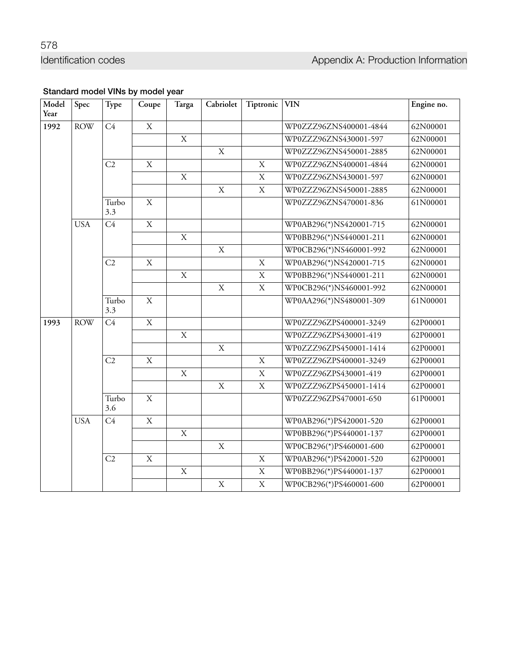### **Standard model VINs by model year**

| Model<br>Year | Spec       | Type           | Coupe          | Targa          | Cabriolet   | Tiptronic      | <b>VIN</b>              | Engine no. |
|---------------|------------|----------------|----------------|----------------|-------------|----------------|-------------------------|------------|
| 1992          | <b>ROW</b> | C4             | $\mathbf X$    |                |             |                | WP0ZZZ96ZNS400001-4844  | 62N00001   |
|               |            |                |                | $\mathbf X$    |             |                | WP0ZZZ96ZNS430001-597   | 62N00001   |
|               |            |                |                |                | $\mathbf X$ |                | WP0ZZZ96ZNS450001-2885  | 62N00001   |
|               |            | C <sub>2</sub> | $\mathbf{X}$   |                |             | $\mathbf X$    | WP0ZZZ96ZNS400001-4844  | 62N00001   |
|               |            |                |                | $\mathbf X$    |             | $\mathbf X$    | WP0ZZZ96ZNS430001-597   | 62N00001   |
|               |            |                |                |                | $\mathbf X$ | $\mathbf X$    | WP0ZZZ96ZNS450001-2885  | 62N00001   |
|               |            | Turbo<br>3.3   | $\mathbf X$    |                |             |                | WP0ZZZ96ZNS470001-836   | 61N00001   |
|               | <b>USA</b> | C4             | $\overline{X}$ |                |             |                | WP0AB296(*)NS420001-715 | 62N00001   |
|               |            |                |                | $\mathbf X$    |             |                | WP0BB296(*)NS440001-211 | 62N00001   |
|               |            |                |                |                | $\mathbf X$ |                | WP0CB296(*)NS460001-992 | 62N00001   |
|               |            | C2             | $\mathbf X$    |                |             | $\mathbf X$    | WP0AB296(*)NS420001-715 | 62N00001   |
|               |            |                |                | $\overline{X}$ |             | $\overline{X}$ | WP0BB296(*)NS440001-211 | 62N00001   |
|               |            |                |                |                | $\mathbf X$ | $\overline{X}$ | WP0CB296(*)NS460001-992 | 62N00001   |
|               |            | Turbo<br>3.3   | $\overline{X}$ |                |             |                | WP0AA296(*)NS480001-309 | 61N00001   |
| 1993          | <b>ROW</b> | C4             | $\overline{X}$ |                |             |                | WP0ZZZ96ZPS400001-3249  | 62P00001   |
|               |            |                |                | $\mathbf X$    |             |                | WP0ZZZ96ZPS430001-419   | 62P00001   |
|               |            |                |                |                | $\mathbf X$ |                | WP0ZZZ96ZPS450001-1414  | 62P00001   |
|               |            | C2             | $\mathbf X$    |                |             | $\mathbf X$    | WP0ZZZ96ZPS400001-3249  | 62P00001   |
|               |            |                |                | $\mathbf X$    |             | $\mathbf X$    | WP0ZZZ96ZPS430001-419   | 62P00001   |
|               |            |                |                |                | $\bar{X}$   | $\overline{X}$ | WP0ZZZ96ZPS450001-1414  | 62P00001   |
|               |            | Turbo<br>3.6   | $\mathbf X$    |                |             |                | WP0ZZZ96ZPS470001-650   | 61P00001   |
|               | <b>USA</b> | C4             | $\overline{X}$ |                |             |                | WP0AB296(*)PS420001-520 | 62P00001   |
|               |            |                |                | $\mathbf X$    |             |                | WP0BB296(*)PS440001-137 | 62P00001   |
|               |            |                |                |                | $\mathbf X$ |                | WP0CB296(*)PS460001-600 | 62P00001   |
|               |            | C2             | $\mathbf X$    |                |             | $\mathbf X$    | WP0AB296(*)PS420001-520 | 62P00001   |
|               |            |                |                | $\mathbf X$    |             | $\mathbf X$    | WP0BB296(*)PS440001-137 | 62P00001   |
|               |            |                |                |                | $\mathbf X$ | $\mathbf X$    | WP0CB296(*)PS460001-600 | 62P00001   |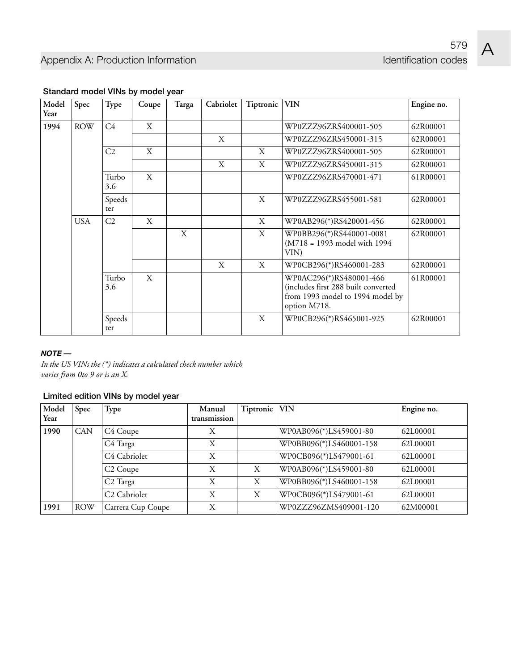$\boldsymbol{\mathsf{A}}$ 

| Model | Spec       | Type           | Coupe | Targa | Cabriolet | Tiptronic | VIN                                                                                                                | Engine no. |
|-------|------------|----------------|-------|-------|-----------|-----------|--------------------------------------------------------------------------------------------------------------------|------------|
| Year  |            |                |       |       |           |           |                                                                                                                    |            |
| 1994  | <b>ROW</b> | C4             | X     |       |           |           | WP0ZZZ96ZRS400001-505                                                                                              | 62R00001   |
|       |            |                |       |       | X         |           | WP0ZZZ96ZRS450001-315                                                                                              | 62R00001   |
|       |            | C2             | X     |       |           | X         | WP0ZZZ96ZRS400001-505                                                                                              | 62R00001   |
|       |            |                |       |       | X         | X         | WP0ZZZ96ZRS450001-315                                                                                              | 62R00001   |
|       |            | Turbo<br>3.6   | X     |       |           |           | WP0ZZZ96ZRS470001-471                                                                                              | 61R00001   |
|       |            | Speeds<br>ter  |       |       |           | X         | WP0ZZZ96ZRS455001-581                                                                                              | 62R00001   |
|       | <b>USA</b> | C <sub>2</sub> | X     |       |           | X         | WP0AB296(*)RS420001-456                                                                                            | 62R00001   |
|       |            |                |       | X     |           | X         | WP0BB296(*)RS440001-0081<br>(M718 = 1993 model with 1994<br>VIN)                                                   | 62R00001   |
|       |            |                |       |       | X         | X         | WP0CB296(*)RS460001-283                                                                                            | 62R00001   |
|       |            | Turbo<br>3.6   | X     |       |           |           | WP0AC296(*)RS480001-466<br>(includes first 288 built converted<br>from 1993 model to 1994 model by<br>option M718. | 61R00001   |
|       |            | Speeds<br>ter  |       |       |           | X         | WP0CB296(*)RS465001-925                                                                                            | 62R00001   |

#### **Standard model VINs by model year**

#### $NOTE -$

*In the US VINs the (\*) indicates a calculated check number which varies from 0to 9 or is an X.*

#### **Limited edition VINs by model year**

| Model<br>Year | <b>Spec</b> | Type                     | Manual<br>transmission | Tiptronic   VIN |                         | Engine no. |
|---------------|-------------|--------------------------|------------------------|-----------------|-------------------------|------------|
| 1990          | <b>CAN</b>  | C4 Coupe                 | X                      |                 | WP0AB096(*)LS459001-80  | 62L00001   |
|               |             | C4 Targa                 | X                      |                 | WP0BB096(*)LS460001-158 | 62L00001   |
|               |             | C <sub>4</sub> Cabriolet | X                      |                 | WP0CB096(*)LS479001-61  | 62L00001   |
|               |             | C <sub>2</sub> Coupe     | X                      | X               | WP0AB096(*)LS459001-80  | 62L00001   |
|               |             | C <sub>2</sub> Targa     | X                      | X               | WP0BB096(*)LS460001-158 | 62L00001   |
|               |             | C <sub>2</sub> Cabriolet | X                      | X               | WP0CB096(*)LS479001-61  | 62L00001   |
| 1991          | <b>ROW</b>  | Carrera Cup Coupe        | Χ                      |                 | WP0ZZZ96ZMS409001-120   | 62M00001   |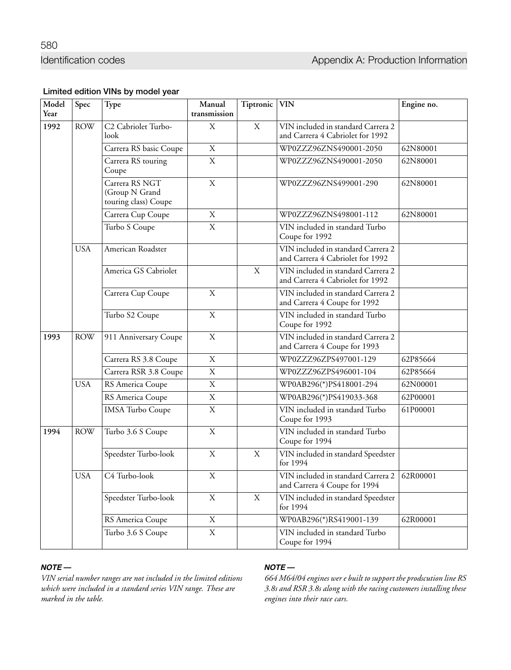580

#### **Limited edition VINs by model year**

| Model<br>Year | Spec       | Type                                                     | Manual<br>transmission | Tiptronic   | <b>VIN</b>                                                                  | Engine no. |
|---------------|------------|----------------------------------------------------------|------------------------|-------------|-----------------------------------------------------------------------------|------------|
| 1992          | <b>ROW</b> | C <sub>2</sub> Cabriolet Turbo-<br>look                  | $\mathbf X$            | $\mathbf X$ | VIN included in standard Carrera 2<br>and Carrera 4 Cabriolet for 1992      |            |
|               |            | Carrera RS basic Coupe                                   | $\mathbf X$            |             | WP0ZZZ96ZNS490001-2050                                                      | 62N80001   |
|               |            | Carrera RS touring<br>Coupe                              | $\overline{X}$         |             | WP0ZZZ96ZNS490001-2050                                                      | 62N80001   |
|               |            | Carrera RS NGT<br>(Group N Grand<br>touring class) Coupe | $\mathbf X$            |             | WP0ZZZ96ZNS499001-290                                                       | 62N80001   |
|               |            | Carrera Cup Coupe                                        | $\mathbf X$            |             | WP0ZZZ96ZNS498001-112                                                       | 62N80001   |
|               |            | Turbo S Coupe                                            | $\overline{X}$         |             | VIN included in standard Turbo<br>Coupe for 1992                            |            |
|               | <b>USA</b> | American Roadster                                        |                        |             | VIN included in standard Carrera 2<br>and Carrera 4 Cabriolet for 1992      |            |
|               |            | America GS Cabriolet                                     |                        | $\mathbf X$ | VIN included in standard Carrera 2<br>and Carrera 4 Cabriolet for 1992      |            |
|               |            | Carrera Cup Coupe                                        | $\mathbf X$            |             | VIN included in standard Carrera 2<br>and Carrera 4 Coupe for 1992          |            |
|               |            | Turbo S2 Coupe                                           | $\mathbf X$            |             | VIN included in standard Turbo<br>Coupe for 1992                            |            |
| 1993          | <b>ROW</b> | 911 Anniversary Coupe                                    | $\mathbf X$            |             | VIN included in standard Carrera 2<br>and Carrera 4 Coupe for 1993          |            |
|               |            | Carrera RS 3.8 Coupe                                     | $\mathbf X$            |             | WP0ZZZ96ZPS497001-129                                                       | 62P85664   |
|               |            | Carrera RSR 3.8 Coupe                                    | $\mathbf X$            |             | WP0ZZZ96ZPS496001-104                                                       | 62P85664   |
|               | <b>USA</b> | RS America Coupe                                         | $\overline{X}$         |             | WP0AB296(*)PS418001-294                                                     | 62N00001   |
|               |            | RS America Coupe                                         | $\mathbf X$            |             | WP0AB296(*)PS419033-368                                                     | 62P00001   |
|               |            | <b>IMSA</b> Turbo Coupe                                  | $\overline{X}$         |             | VIN included in standard Turbo<br>Coupe for 1993                            | 61P00001   |
| 1994          | <b>ROW</b> | Turbo 3.6 S Coupe                                        | $\mathbf X$            |             | VIN included in standard Turbo<br>Coupe for 1994                            |            |
|               |            | Speedster Turbo-look                                     | $\mathbf X$            | $\mathbf X$ | VIN included in standard Speedster<br>for 1994                              |            |
|               | <b>USA</b> | C4 Turbo-look                                            | $\overline{X}$         |             | VIN included in standard Carrera 2 62R00001<br>and Carrera 4 Coupe for 1994 |            |
|               |            | Speedster Turbo-look                                     | X                      | $\mathbf X$ | VIN included in standard Speedster<br>for 1994                              |            |
|               |            | RS America Coupe                                         | X                      |             | WP0AB296(*)RS419001-139                                                     | 62R00001   |
|               |            | Turbo 3.6 S Coupe                                        | $\mathbf X$            |             | VIN included in standard Turbo<br>Coupe for 1994                            |            |

#### $NOTE -$

*VIN serial number ranges are not included in the limited editions which were included in a standard series VIN range. These are marked in the table.*

#### $NOTE -$

*664 M64/04 engines wer e built to support the prodscution line RS 3.8s and RSR 3.8s along with the racing customers installing these engines into their race cars.*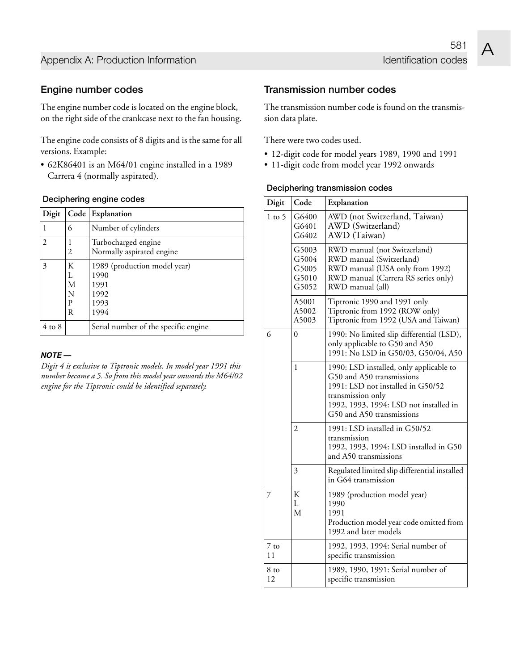#### **Engine number codes**

The engine number code is located on the engine block, on the right side of the crankcase next to the fan housing.

The engine code consists of 8 digits and is the same for all versions. Example:

• 62K86401 is an M64/01 engine installed in a 1989 Carrera 4 (normally aspirated).

#### **Deciphering engine codes**

| Digit      |                            | Code Explanation                                                     |
|------------|----------------------------|----------------------------------------------------------------------|
|            | 6                          | Number of cylinders                                                  |
| 2          | 2                          | Turbocharged engine<br>Normally aspirated engine                     |
| 3          | K<br>L<br>M<br>N<br>P<br>R | 1989 (production model year)<br>1990<br>1991<br>1992<br>1993<br>1994 |
| $4$ to $8$ |                            | Serial number of the specific engine                                 |

#### $NOTE -$

*Digit 4 is exclusive to Tiptronic models. In model year 1991 this number became a 5. So from this model year onwards the M64/02 engine for the Tiptronic could be identified separately.*

#### **Transmission number codes**

The transmission number code is found on the transmission data plate.

There were two codes used.

- 12-digit code for model years 1989, 1990 and 1991
- 11-digit code from model year 1992 onwards

#### **Deciphering transmission codes**

| Digit          | Code                                      | Explanation                                                                                                                                                                                           |
|----------------|-------------------------------------------|-------------------------------------------------------------------------------------------------------------------------------------------------------------------------------------------------------|
| $1$ to $5$     | G6400<br>G6401<br>G6402                   | AWD (not Switzerland, Taiwan)<br>AWD (Switzerland)<br>AWD (Taiwan)                                                                                                                                    |
|                | G5003<br>G5004<br>G5005<br>G5010<br>G5052 | RWD manual (not Switzerland)<br>RWD manual (Switzerland)<br>RWD manual (USA only from 1992)<br>RWD manual (Carrera RS series only)<br>RWD manual (all)                                                |
|                | A5001<br>A5002<br>A5003                   | Tiptronic 1990 and 1991 only<br>Tiptronic from 1992 (ROW only)<br>Tiptronic from 1992 (USA and Taiwan)                                                                                                |
| 6              | $\theta$                                  | 1990: No limited slip differential (LSD),<br>only applicable to G50 and A50<br>1991: No LSD in G50/03, G50/04, A50                                                                                    |
|                | 1                                         | 1990: LSD installed, only applicable to<br>G50 and A50 transmissions<br>1991: LSD not installed in G50/52<br>transmission only<br>1992, 1993, 1994: LSD not installed in<br>G50 and A50 transmissions |
|                | $\overline{2}$                            | 1991: LSD installed in G50/52<br>transmission<br>1992, 1993, 1994: LSD installed in G50<br>and A50 transmissions                                                                                      |
|                | 3                                         | Regulated limited slip differential installed<br>in G64 transmission                                                                                                                                  |
| $\overline{7}$ | K<br>L<br>М                               | 1989 (production model year)<br>1990<br>1991<br>Production model year code omitted from<br>1992 and later models                                                                                      |
| $7$ to<br>11   |                                           | 1992, 1993, 1994: Serial number of<br>specific transmission                                                                                                                                           |
| 8 to<br>12     |                                           | 1989, 1990, 1991: Serial number of<br>specific transmission                                                                                                                                           |



581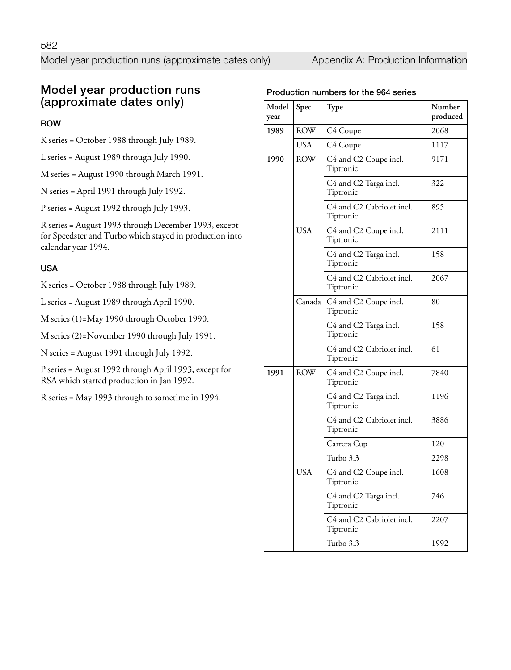## **Model year production runs (approximate dates only)**

#### **ROW**

- K series = October 1988 through July 1989.
- L series = August 1989 through July 1990.
- M series = August 1990 through March 1991.
- N series = April 1991 through July 1992.
- P series = August 1992 through July 1993.

R series = August 1993 through December 1993, except for Speedster and Turbo which stayed in production into calendar year 1994.

#### **USA**

K series = October 1988 through July 1989.

L series = August 1989 through April 1990.

M series (1)=May 1990 through October 1990.

M series (2)=November 1990 through July 1991.

N series = August 1991 through July 1992.

P series = August 1992 through April 1993, except for RSA which started production in Jan 1992.

R series = May 1993 through to sometime in 1994.

#### **Production numbers for the 964 series**

| Model<br>year | Spec       | Type                                        | Number<br>produced |
|---------------|------------|---------------------------------------------|--------------------|
| 1989          | <b>ROW</b> | C4 Coupe                                    | 2068               |
|               | <b>USA</b> | C4 Coupe                                    | 1117               |
| 1990          | <b>ROW</b> | C4 and C2 Coupe incl.<br>Tiptronic          | 9171               |
|               |            | C4 and C2 Targa incl.<br>Tiptronic          | 322                |
|               |            | C4 and C2 Cabriolet incl.<br>Tiptronic      | 895                |
|               | <b>USA</b> | C4 and C2 Coupe incl.<br>Tiptronic          | 2111               |
|               |            | C4 and C2 Targa incl.<br>Tiptronic          | 158                |
|               |            | C4 and C2 Cabriolet incl.<br>Tiptronic      | 2067               |
|               |            | Canada   C4 and C2 Coupe incl.<br>Tiptronic | 80                 |
|               |            | C4 and C2 Targa incl.<br>Tiptronic          | 158                |
|               |            | C4 and C2 Cabriolet incl.<br>Tiptronic      | 61                 |
| 1991          | <b>ROW</b> | C4 and C2 Coupe incl.<br>Tiptronic          | 7840               |
|               |            | C4 and C2 Targa incl.<br>Tiptronic          | 1196               |
|               |            | C4 and C2 Cabriolet incl.<br>Tiptronic      | 3886               |
|               |            | Carrera Cup                                 | 120                |
|               |            | Turbo 3.3                                   | 2298               |
|               | <b>USA</b> | C4 and C2 Coupe incl.<br>Tiptronic          | 1608               |
|               |            | C4 and C2 Targa incl.<br>Tiptronic          | 746                |
|               |            | C4 and C2 Cabriolet incl.<br>Tiptronic      | 2207               |
|               |            | Turbo 3.3                                   | 1992               |